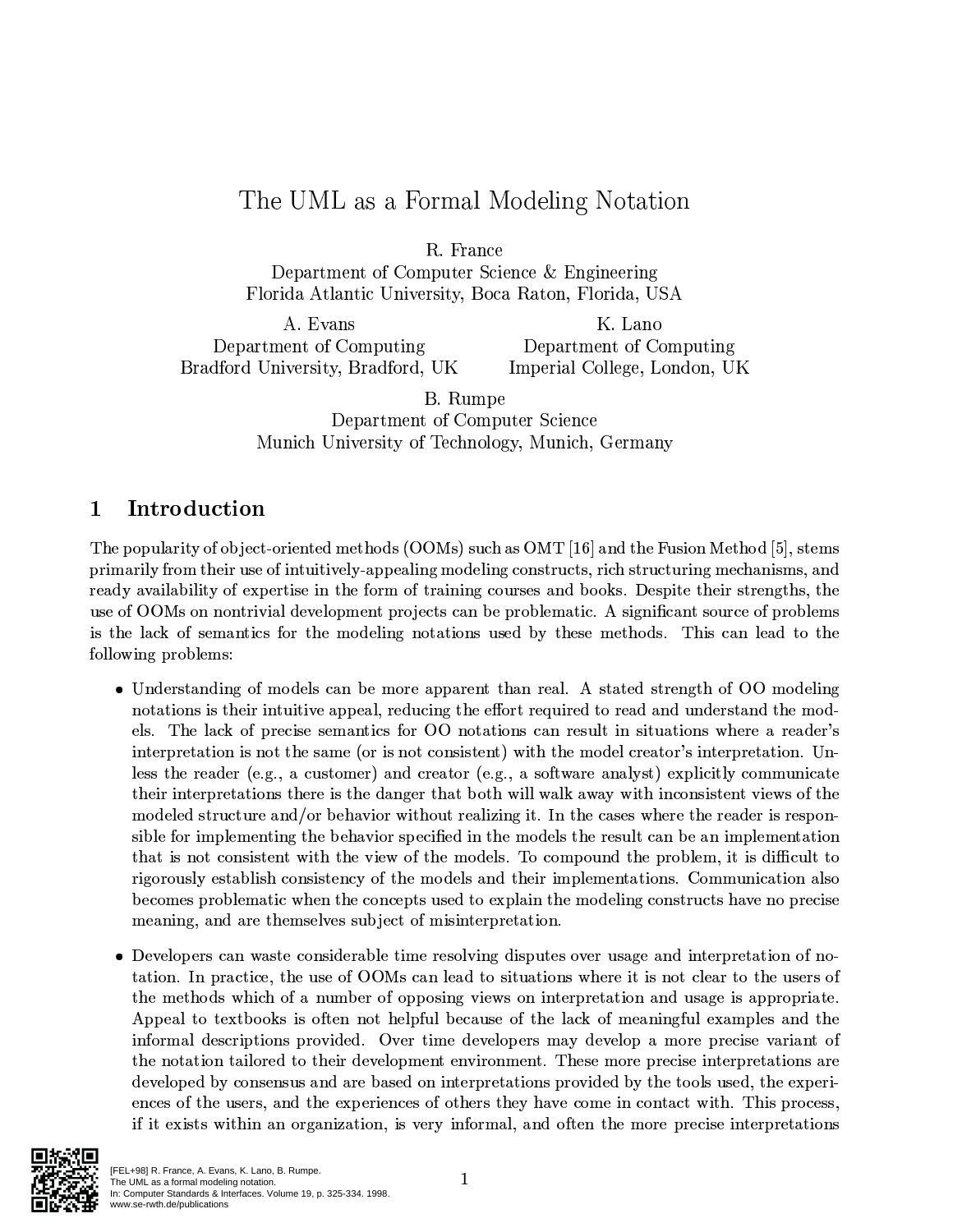# The UML as a Formal Modeling Notation

R. France Department of Computer Science & Engineering Florida Atlantic University, Boca Raton, Florida, USA

K. Lano A. Evans Department of Computing Department of Computing Bradford University, Bradford, UK Imperial College, London, UK

> B. Rumpe Department of Computer Science Munich University of Technology, Munich, Germany

# Introduction  $\mathbf 1$

The popularity of object-oriented methods (OOMs) such as OMT [16] and the Fusion Method [5], stems primarily from their use of intuitively-appealing modeling constructs, rich structuring mechanisms, and ready availability of expertise in the form of training courses and books. Despite their strengths, the use of OOMs on nontrivial development projects can be problematic. A significant source of problems is the lack of semantics for the modeling notations used by these methods. This can lead to the following problems:

- Understanding of models can be more apparent than real. A stated strength of OO modeling notations is their intuitive appeal, reducing the effort required to read and understand the models. The lack of precise semantics for OO notations can result in situations where a reader's interpretation is not the same (or is not consistent) with the model creator's interpretation. Unless the reader (e.g., a customer) and creator (e.g., a software analyst) explicitly communicate their interpretations there is the danger that both will walk away with inconsistent views of the modeled structure and/or behavior without realizing it. In the cases where the reader is responsible for implementing the behavior specified in the models the result can be an implementation that is not consistent with the view of the models. To compound the problem, it is difficult to rigorously establish consistency of the models and their implementations. Communication also becomes problematic when the concepts used to explain the modeling constructs have no precise meaning, and are themselves subject of misinterpretation.
- Developers can waste considerable time resolving disputes over usage and interpretation of notation. In practice, the use of OOMs can lead to situations where it is not clear to the users of the methods which of a number of opposing views on interpretation and usage is appropriate. Appeal to textbooks is often not helpful because of the lack of meaningful examples and the informal descriptions provided. Over time developers may develop a more precise variant of the notation tailored to their development environment. These more precise interpretations are developed by consensus and are based on interpretations provided by the tools used, the experiences of the users, and the experiences of others they have come in contact with. This process. if it exists within an organization, is very informal, and often the more precise interpretations

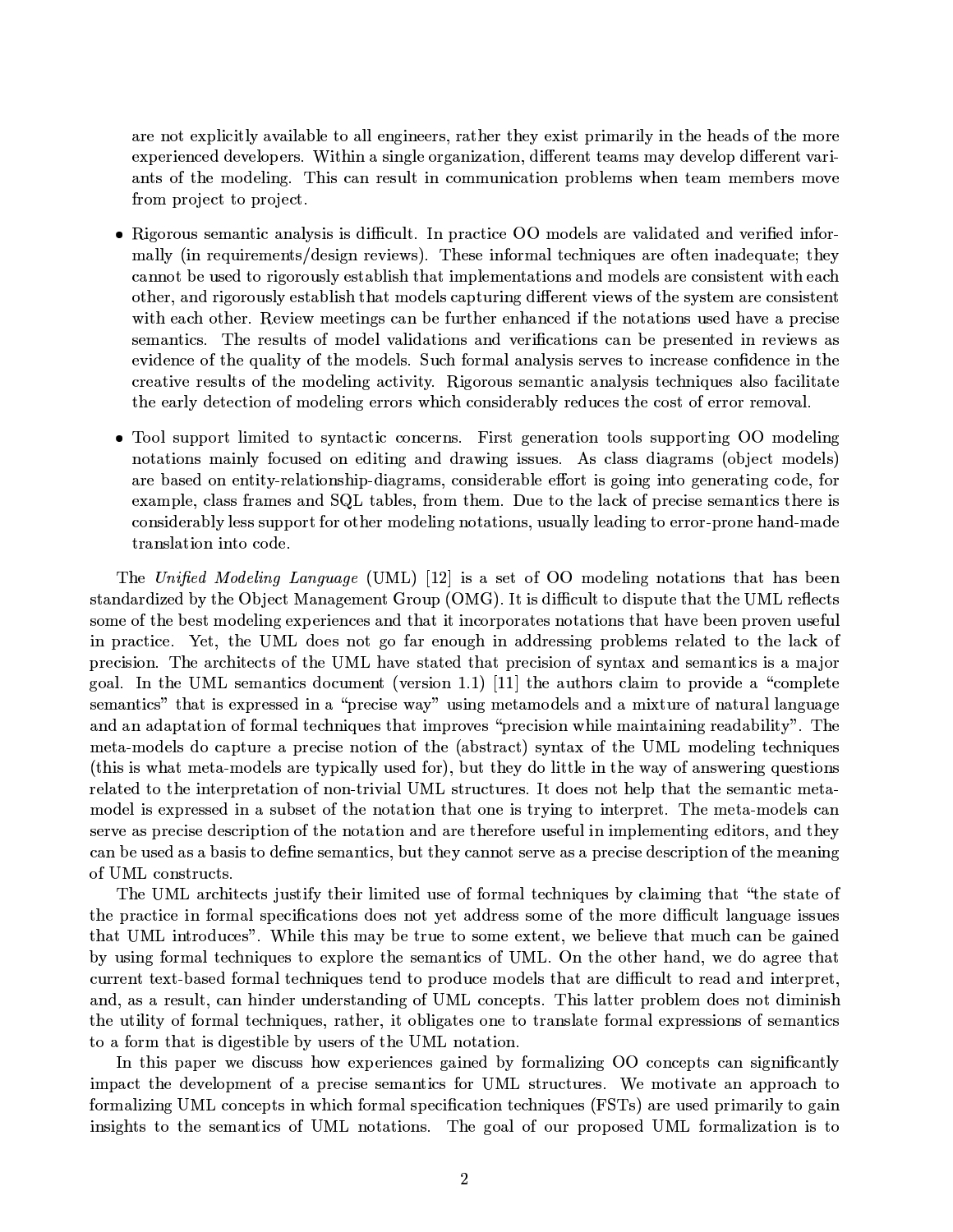are not explicitly available to all engineers, rather they exist primarily in the heads of the more experienced developers. Within a single organization, different teams may develop different variants of the modeling. This can result in communication problems when team members move from project to project.

- Rigorous semantic analysis is difficult. In practice OO models are validated and verified informally (in requirements/design reviews). These informal techniques are often inadequate; they cannot be used to rigorously establish that implementations and models are consistent with each other, and rigorously establish that models capturing different views of the system are consistent with each other. Review meetings can be further enhanced if the notations used have a precise semantics. The results of model validations and verifications can be presented in reviews as evidence of the quality of the models. Such formal analysis serves to increase confidence in the creative results of the modeling activity. Rigorous semantic analysis techniques also facilitate the early detection of modeling errors which considerably reduces the cost of error removal.
- Tool support limited to syntactic concerns. First generation tools supporting OO modeling notations mainly focused on editing and drawing issues. As class diagrams (object models) are based on entity-relationship-diagrams, considerable effort is going into generating code, for example, class frames and SQL tables, from them. Due to the lack of precise semantics there is considerably less support for other modeling notations, usually leading to error-prone hand-made translation into code.

The Unified Modeling Language (UML) [12] is a set of OO modeling notations that has been standardized by the Object Management Group (OMG). It is difficult to dispute that the UML reflects some of the best modeling experiences and that it incorporates notations that have been proven useful in practice. Yet, the UML does not go far enough in addressing problems related to the lack of precision. The architects of the UML have stated that precision of syntax and semantics is a major goal. In the UML semantics document (version 1.1) [11] the authors claim to provide a "complete semantics" that is expressed in a "precise way" using metamodels and a mixture of natural language and an adaptation of formal techniques that improves "precision while maintaining readability". The meta-models do capture a precise notion of the (abstract) syntax of the UML modeling techniques (this is what meta-models are typically used for), but they do little in the way of answering questions related to the interpretation of non-trivial UML structures. It does not help that the semantic metamodel is expressed in a subset of the notation that one is trying to interpret. The meta-models can serve as precise description of the notation and are therefore useful in implementing editors, and they can be used as a basis to define semantics, but they cannot serve as a precise description of the meaning of UML constructs.

The UML architects justify their limited use of formal techniques by claiming that "the state of the practice in formal specifications does not yet address some of the more difficult language issues that UML introduces". While this may be true to some extent, we believe that much can be gained by using formal techniques to explore the semantics of UML. On the other hand, we do agree that current text-based formal techniques tend to produce models that are difficult to read and interpret, and, as a result, can hinder understanding of UML concepts. This latter problem does not diminish the utility of formal techniques, rather, it obligates one to translate formal expressions of semantics to a form that is digestible by users of the UML notation.

In this paper we discuss how experiences gained by formalizing OO concepts can significantly impact the development of a precise semantics for UML structures. We motivate an approach to formalizing UML concepts in which formal specification techniques (FSTs) are used primarily to gain insights to the semantics of UML notations. The goal of our proposed UML formalization is to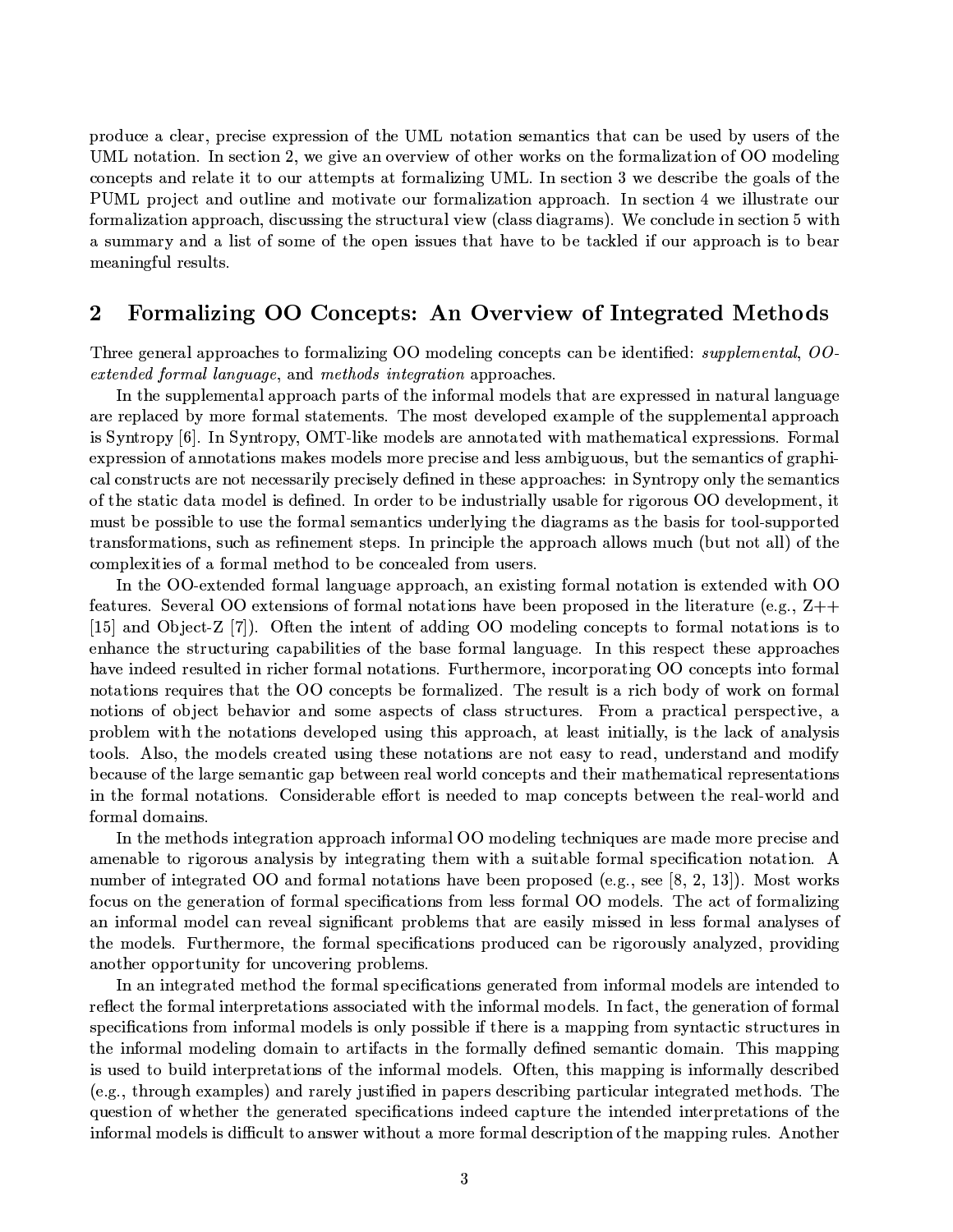produce a clear, precise expression of the UML notation semantics that can be used by users of the UML notation. In section 2, we give an overview of other works on the formalization of OO modeling concepts and relate it to our attempts at formalizing UML. In section 3 we describe the goals of the PUML project and outline and motivate our formalization approach. In section 4 we illustrate our formalization approach, discussing the structural view (class diagrams). We conclude in section 5 with a summary and a list of some of the open issues that have to be tackled if our approach is to bear meaningful results.

## Formalizing OO Concepts: An Overview of Integrated Methods  $\overline{2}$

Three general approaches to formalizing OO modeling concepts can be identified: *supplemental*, OOextended formal language, and methods integration approaches.

In the supplemental approach parts of the informal models that are expressed in natural language are replaced by more formal statements. The most developed example of the supplemental approach is Syntropy [6]. In Syntropy, OMT-like models are annotated with mathematical expressions. Formal expression of annotations makes models more precise and less ambiguous, but the semantics of graphical constructs are not necessarily precisely defined in these approaches: in Syntropy only the semantics of the static data model is defined. In order to be industrially usable for rigorous OO development, it must be possible to use the formal semantics underlying the diagrams as the basis for tool-supported transformations, such as refinement steps. In principle the approach allows much (but not all) of the complexities of a formal method to be concealed from users.

In the OO-extended formal language approach, an existing formal notation is extended with OO features. Several OO extensions of formal notations have been proposed in the literature (e.g.,  $Z++$  $[15]$  and Object-Z  $[7]$ . Often the intent of adding OO modeling concepts to formal notations is to enhance the structuring capabilities of the base formal language. In this respect these approaches have indeed resulted in richer formal notations. Furthermore, incorporating OO concepts into formal notations requires that the OO concepts be formalized. The result is a rich body of work on formal notions of object behavior and some aspects of class structures. From a practical perspective, a problem with the notations developed using this approach, at least initially, is the lack of analysis tools. Also, the models created using these notations are not easy to read, understand and modify because of the large semantic gap between real world concepts and their mathematical representations in the formal notations. Considerable effort is needed to map concepts between the real-world and formal domains.

In the methods integration approach informal OO modeling techniques are made more precise and amenable to rigorous analysis by integrating them with a suitable formal specification notation. A number of integrated OO and formal notations have been proposed (e.g., see [8, 2, 13]). Most works focus on the generation of formal specifications from less formal OO models. The act of formalizing an informal model can reveal significant problems that are easily missed in less formal analyses of the models. Furthermore, the formal specifications produced can be rigorously analyzed, providing another opportunity for uncovering problems.

In an integrated method the formal specifications generated from informal models are intended to reflect the formal interpretations associated with the informal models. In fact, the generation of formal specifications from informal models is only possible if there is a mapping from syntactic structures in the informal modeling domain to artifacts in the formally defined semantic domain. This mapping is used to build interpretations of the informal models. Often, this mapping is informally described (e.g., through examples) and rarely justified in papers describing particular integrated methods. The question of whether the generated specifications indeed capture the intended interpretations of the informal models is difficult to answer without a more formal description of the mapping rules. Another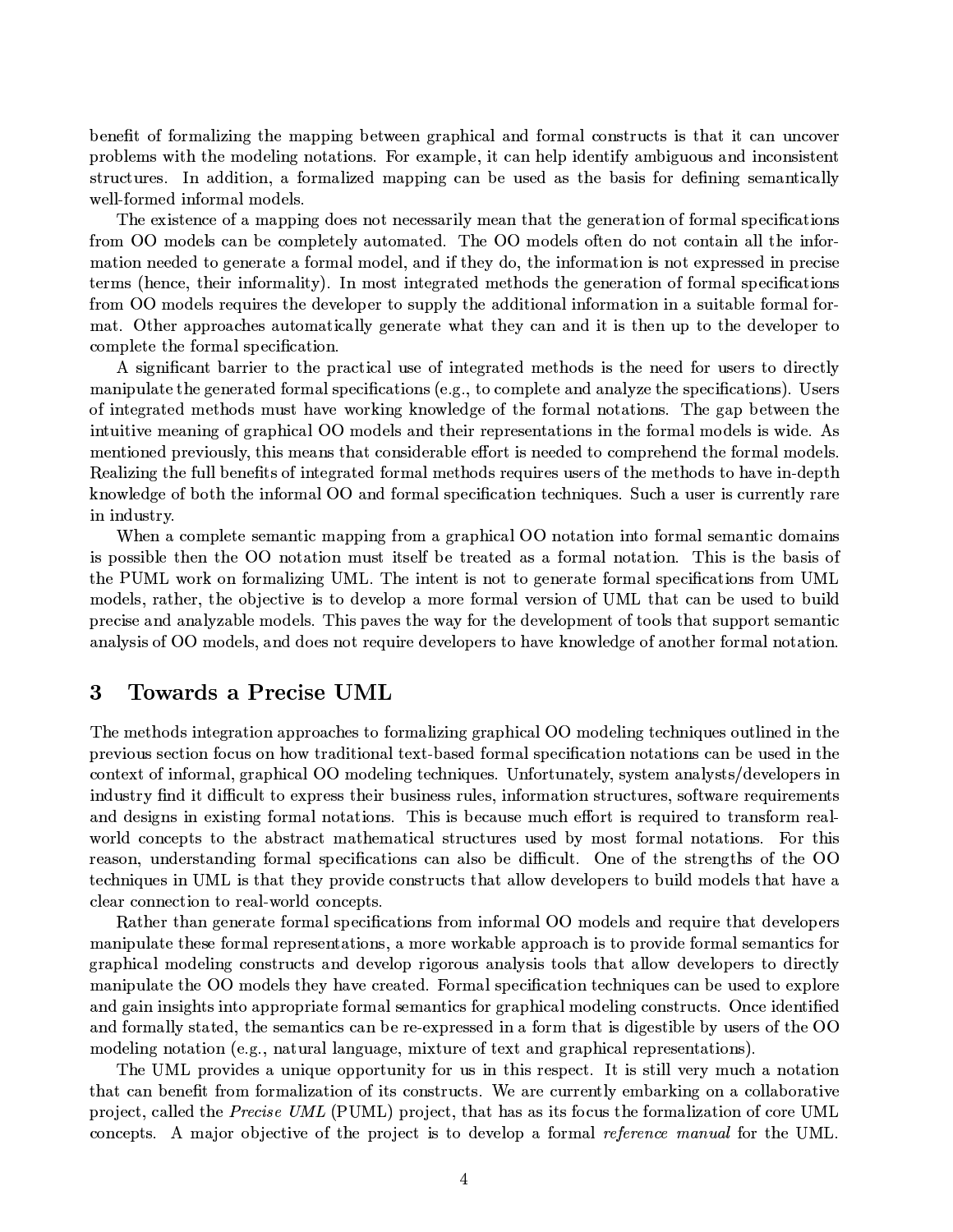benefit of formalizing the mapping between graphical and formal constructs is that it can uncover problems with the modeling notations. For example, it can help identify ambiguous and inconsistent structures. In addition, a formalized mapping can be used as the basis for defining semantically well-formed informal models.

The existence of a mapping does not necessarily mean that the generation of formal specifications from OO models can be completely automated. The OO models often do not contain all the information needed to generate a formal model, and if they do, the information is not expressed in precise terms (hence, their informality). In most integrated methods the generation of formal specifications from OO models requires the developer to supply the additional information in a suitable formal format. Other approaches automatically generate what they can and it is then up to the developer to complete the formal specification.

A significant barrier to the practical use of integrated methods is the need for users to directly manipulate the generated formal specifications (e.g., to complete and analyze the specifications). Users of integrated methods must have working knowledge of the formal notations. The gap between the intuitive meaning of graphical OO models and their representations in the formal models is wide. As mentioned previously, this means that considerable effort is needed to comprehend the formal models. Realizing the full benefits of integrated formal methods requires users of the methods to have in-depth knowledge of both the informal OO and formal specification techniques. Such a user is currently rare in industry.

When a complete semantic mapping from a graphical OO notation into formal semantic domains is possible then the OO notation must itself be treated as a formal notation. This is the basis of the PUML work on formalizing UML. The intent is not to generate formal specifications from UML models, rather, the objective is to develop a more formal version of UML that can be used to build precise and analyzable models. This payes the way for the development of tools that support semantic analysis of OO models, and does not require developers to have knowledge of another formal notation.

## 3 Towards a Precise UML

The methods integration approaches to formalizing graphical OO modeling techniques outlined in the previous section focus on how traditional text-based formal specification notations can be used in the context of informal, graphical OO modeling techniques. Unfortunately, system analysts/developers in industry find it difficult to express their business rules, information structures, software requirements and designs in existing formal notations. This is because much effort is required to transform realworld concepts to the abstract mathematical structures used by most formal notations. For this reason, understanding formal specifications can also be difficult. One of the strengths of the OO techniques in UML is that they provide constructs that allow developers to build models that have a clear connection to real-world concepts.

Rather than generate formal specifications from informal OO models and require that developers manipulate these formal representations, a more workable approach is to provide formal semantics for graphical modeling constructs and develop rigorous analysis tools that allow developers to directly manipulate the OO models they have created. Formal specification techniques can be used to explore and gain insights into appropriate formal semantics for graphical modeling constructs. Once identified and formally stated, the semantics can be re-expressed in a form that is digestible by users of the OO modeling notation (e.g., natural language, mixture of text and graphical representations).

The UML provides a unique opportunity for us in this respect. It is still very much a notation that can benefit from formalization of its constructs. We are currently embarking on a collaborative project, called the Precise UML (PUML) project, that has as its focus the formalization of core UML concepts. A major objective of the project is to develop a formal reference manual for the UML.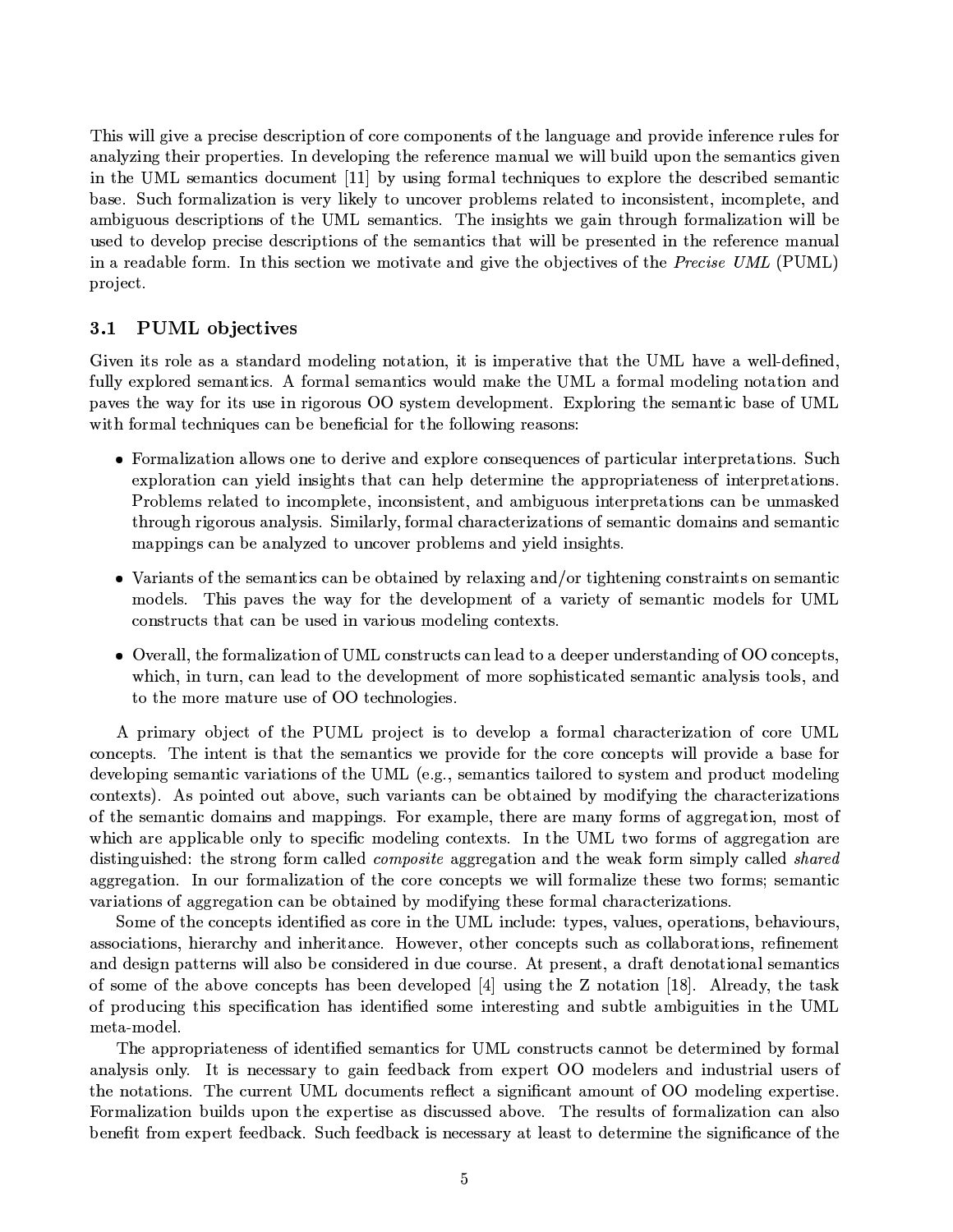This will give a precise description of core components of the language and provide inference rules for analyzing their properties. In developing the reference manual we will build upon the semantics given in the UML semantics document [11] by using formal techniques to explore the described semantic base. Such formalization is very likely to uncover problems related to inconsistent, incomplete, and ambiguous descriptions of the UML semantics. The insights we gain through formalization will be used to develop precise descriptions of the semantics that will be presented in the reference manual in a readable form. In this section we motivate and give the objectives of the *Precise UML* (PUML) project.

#### **PUML** objectives  $\bf 3.1$

Given its role as a standard modeling notation, it is imperative that the UML have a well-defined, fully explored semantics. A formal semantics would make the UML a formal modeling notation and paves the way for its use in rigorous OO system development. Exploring the semantic base of UML with formal techniques can be beneficial for the following reasons:

- Formalization allows one to derive and explore consequences of particular interpretations. Such exploration can yield insights that can help determine the appropriateness of interpretations. Problems related to incomplete, inconsistent, and ambiguous interpretations can be unmasked through rigorous analysis. Similarly, formal characterizations of semantic domains and semantic mappings can be analyzed to uncover problems and yield insights.
- Variants of the semantics can be obtained by relaxing and/or tightening constraints on semantic models. This paves the way for the development of a variety of semantic models for UML constructs that can be used in various modeling contexts.
- Overall, the formalization of UML constructs can lead to a deeper understanding of OO concepts, which, in turn, can lead to the development of more sophisticated semantic analysis tools, and to the more mature use of OO technologies.

A primary object of the PUML project is to develop a formal characterization of core UML concepts. The intent is that the semantics we provide for the core concepts will provide a base for developing semantic variations of the UML (e.g., semantics tailored to system and product modeling contexts). As pointed out above, such variants can be obtained by modifying the characterizations of the semantic domains and mappings. For example, there are many forms of aggregation, most of which are applicable only to specific modeling contexts. In the UML two forms of aggregation are distinguished: the strong form called *composite* aggregation and the weak form simply called *shared* aggregation. In our formalization of the core concepts we will formalize these two forms; semantic variations of aggregation can be obtained by modifying these formal characterizations.

Some of the concepts identified as core in the UML include: types, values, operations, behaviours, associations, hierarchy and inheritance. However, other concepts such as collaborations, refinement and design patterns will also be considered in due course. At present, a draft denotational semantics of some of the above concepts has been developed  $[4]$  using the Z notation [18]. Already, the task of producing this specification has identified some interesting and subtle ambiguities in the UML meta-model.

The appropriateness of identified semantics for UML constructs cannot be determined by formal analysis only. It is necessary to gain feedback from expert OO modelers and industrial users of the notations. The current UML documents reflect a significant amount of OO modeling expertise. Formalization builds upon the expertise as discussed above. The results of formalization can also benefit from expert feedback. Such feedback is necessary at least to determine the significance of the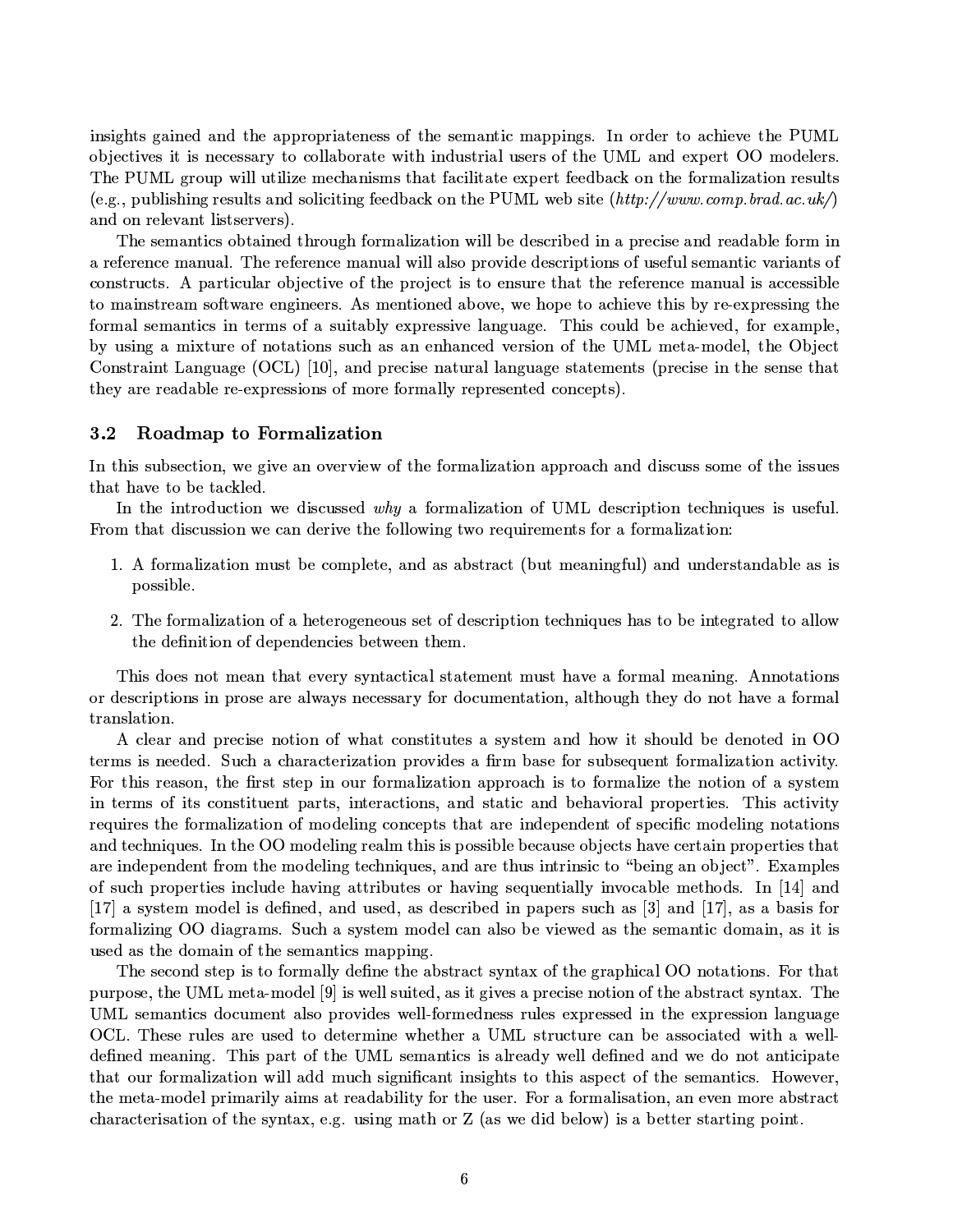insights gained and the appropriateness of the semantic mappings. In order to achieve the PUML objectives it is necessary to collaborate with industrial users of the UML and expert OO modelers. The PUML group will utilize mechanisms that facilitate expert feedback on the formalization results (e.g., publishing results and soliciting feedback on the PUML web site  $\frac{http://www.comp.brad.ac.uk/}{$ and on relevant lists ervers).

The semantics obtained through formalization will be described in a precise and readable form in a reference manual. The reference manual will also provide descriptions of useful semantic variants of constructs. A particular objective of the project is to ensure that the reference manual is accessible to mainstream software engineers. As mentioned above, we hope to achieve this by re-expressing the formal semantics in terms of a suitably expressive language. This could be achieved, for example, by using a mixture of notations such as an enhanced version of the UML meta-model, the Object Constraint Language (OCL) [10], and precise natural language statements (precise in the sense that they are readable re-expressions of more formally represented concepts).

#### Roadmap to Formalization 3.2

In this subsection, we give an overview of the formalization approach and discuss some of the issues that have to be tackled.

In the introduction we discussed  $why$  a formalization of UML description techniques is useful. From that discussion we can derive the following two requirements for a formalization:

- 1. A formalization must be complete, and as abstract (but meaningful) and understandable as is possible.
- 2. The formalization of a heterogeneous set of description techniques has to be integrated to allow the definition of dependencies between them.

This does not mean that every syntactical statement must have a formal meaning. Annotations or descriptions in prose are always necessary for documentation, although they do not have a formal translation.

A clear and precise notion of what constitutes a system and how it should be denoted in OO terms is needed. Such a characterization provides a firm base for subsequent formalization activity. For this reason, the first step in our formalization approach is to formalize the notion of a system in terms of its constituent parts, interactions, and static and behavioral properties. This activity requires the formalization of modeling concepts that are independent of specific modeling notations and techniques. In the OO modeling realm this is possible because objects have certain properties that are independent from the modeling techniques, and are thus intrinsic to "being an object". Examples of such properties include having attributes or having sequentially invocable methods. In [14] and  $\lceil 17 \rceil$  a system model is defined, and used, as described in papers such as  $\lceil 3 \rceil$  and  $\lceil 17 \rceil$ , as a basis for formalizing OO diagrams. Such a system model can also be viewed as the semantic domain, as it is used as the domain of the semantics mapping.

The second step is to formally define the abstract syntax of the graphical OO notations. For that purpose, the UML meta-model [9] is well suited, as it gives a precise notion of the abstract syntax. The UML semantics document also provides well-formedness rules expressed in the expression language OCL. These rules are used to determine whether a UML structure can be associated with a welldefined meaning. This part of the UML semantics is already well defined and we do not anticipate that our formalization will add much significant insights to this aspect of the semantics. However, the meta-model primarily aims at readability for the user. For a formalisation, an even more abstract characterisation of the syntax, e.g. using math or Z (as we did below) is a better starting point.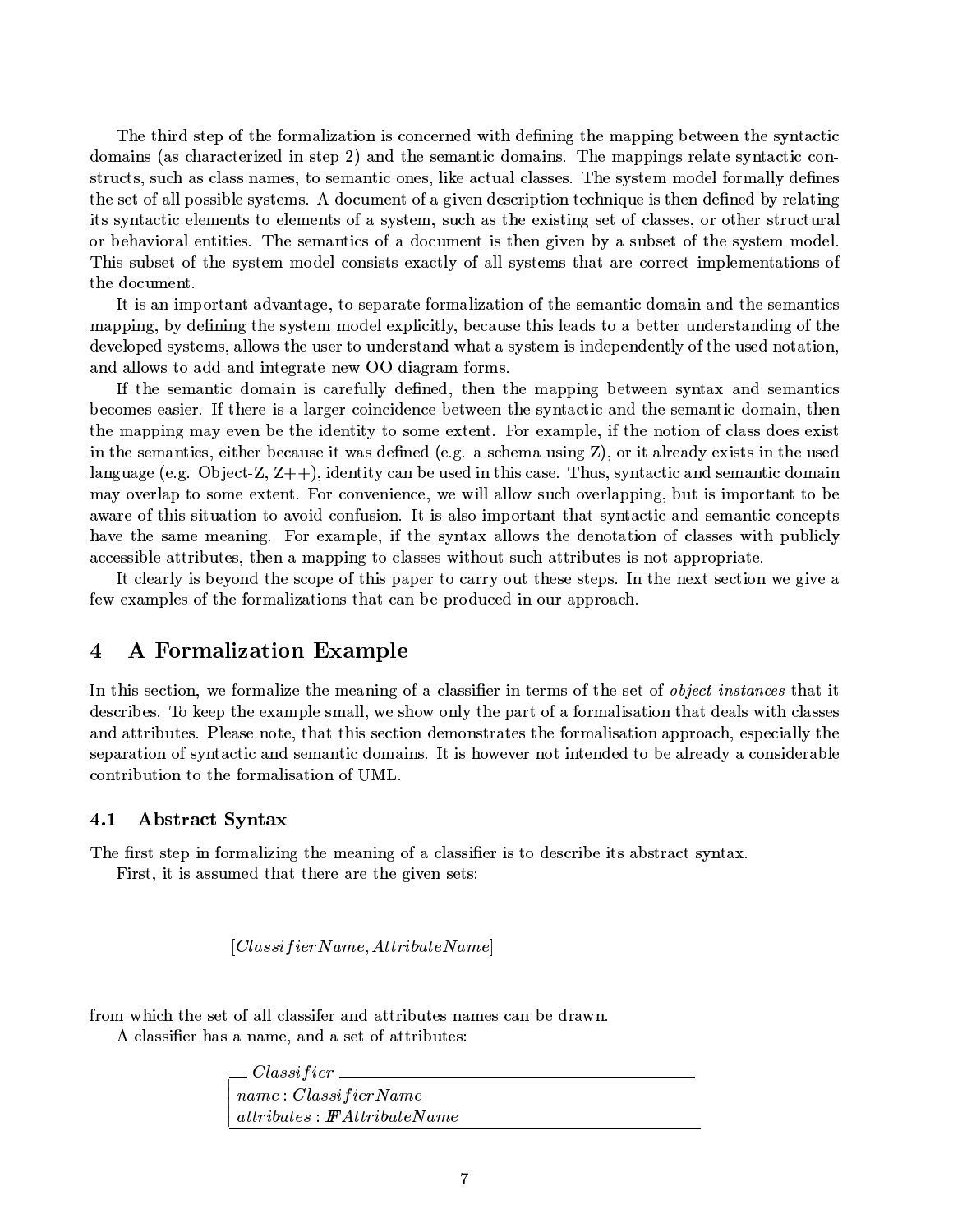The third step of the formalization is concerned with defining the mapping between the syntactic domains (as characterized in step 2) and the semantic domains. The mappings relate syntactic constructs, such as class names, to semantic ones, like actual classes. The system model formally defines the set of all possible systems. A document of a given description technique is then defined by relating its syntactic elements to elements of a system, such as the existing set of classes, or other structural or behavioral entities. The semantics of a document is then given by a subset of the system model. This subset of the system model consists exactly of all systems that are correct implementations of the document.

It is an important advantage, to separate formalization of the semantic domain and the semantics mapping, by defining the system model explicitly, because this leads to a better understanding of the developed systems, allows the user to understand what a system is independently of the used notation, and allows to add and integrate new OO diagram forms.

If the semantic domain is carefully defined, then the mapping between syntax and semantics becomes easier. If there is a larger coincidence between the syntactic and the semantic domain, then the mapping may even be the identity to some extent. For example, if the notion of class does exist in the semantics, either because it was defined (e.g. a schema using Z), or it already exists in the used language (e.g. Object-Z,  $Z++$ ), identity can be used in this case. Thus, syntactic and semantic domain may overlap to some extent. For convenience, we will allow such overlapping, but is important to be aware of this situation to avoid confusion. It is also important that syntactic and semantic concepts have the same meaning. For example, if the syntax allows the denotation of classes with publicly accessible attributes, then a mapping to classes without such attributes is not appropriate.

It clearly is beyond the scope of this paper to carry out these steps. In the next section we give a few examples of the formalizations that can be produced in our approach.

## **A** Formalization Example  $\bf{4}$

In this section, we formalize the meaning of a classifier in terms of the set of *object instances* that it describes. To keep the example small, we show only the part of a formalisation that deals with classes and attributes. Please note, that this section demonstrates the formalisation approach, especially the separation of syntactic and semantic domains. It is however not intended to be already a considerable contribution to the formalisation of UML.

#### 4.1 Abstract Syntax

The first step in formalizing the meaning of a classifier is to describe its abstract syntax.

First, it is assumed that there are the given sets:

 $[ClassifierName,AttributeName]$ 

from which the set of all classifer and attributes names can be drawn.

A classifier has a name, and a set of attributes:

| $\angle$ Classifier $\angle$               |
|--------------------------------------------|
|                                            |
| $\mid name : ClassifierName \mid$          |
| $\mid$ attributes : <b>F</b> AttributeName |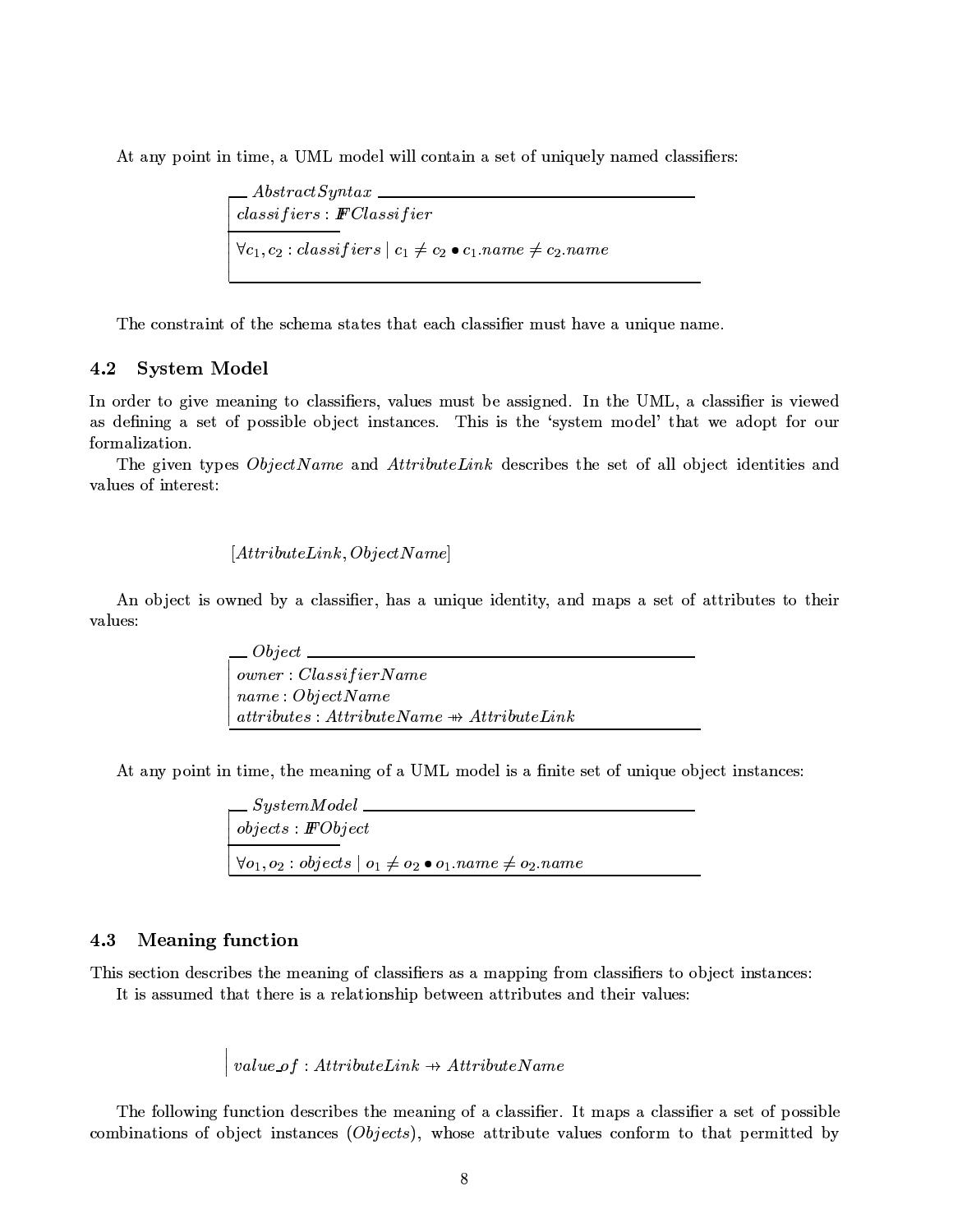At any point in time, a UML model will contain a set of uniquely named classifiers:

 $\fbox{\parbox{10cm}{{\footnotesize{A}}{\footnotesize{b}}{\footnotesize{s}}{\footnotesize{y}}{\footnotesize{ntax}}} {\footnotesize{classifiers:}}{\footnotesize{F}}{\footnotesize{Classifiers}\mid{c_1\neq{c_2}\bullet{c_1}.name\ne{c_2}.name}}$ 

The constraint of the schema states that each classifier must have a unique name.

#### $4.2$ **System Model**

In order to give meaning to classifiers, values must be assigned. In the UML, a classifier is viewed as defining a set of possible object instances. This is the 'system model' that we adopt for our formalization.

The given types *ObjectName* and *AttributeLink* describes the set of all object identities and values of interest:

# $[AttributeLink, ObjectName]$

An object is owned by a classifier, has a unique identity, and maps a set of attributes to their values:

 $\begin{array}{l} \begin{array}{l} Object \ \hline owner: ClassifierName \ \end{array} \end{array}$  $attributes:AttributeName \rightarrow AttributeLink$ 

At any point in time, the meaning of a UML model is a finite set of unique object instances:

 $\begin{array}{l} \hline \begin{array}{l} SystemModel \\ objects: {\color{red}FObject} \end{array} \\\hline \begin{array}{l} objects \end{array} \end{array} \\\hline \begin{array}{l} \forall o_1,o_2:objects \mid o_1 \neq o_2 \bullet o_1.name \neq o_2.name \end{array} \end{array}$ 

#### 4.3 **Meaning function**

This section describes the meaning of classifiers as a mapping from classifiers to object instances: It is assumed that there is a relationship between attributes and their values:

 $\Big|$  value\_of: AttributeLink  $\rightarrow$  AttributeName

The following function describes the meaning of a classifier. It maps a classifier a set of possible combinations of object instances (Objects), whose attribute values conform to that permitted by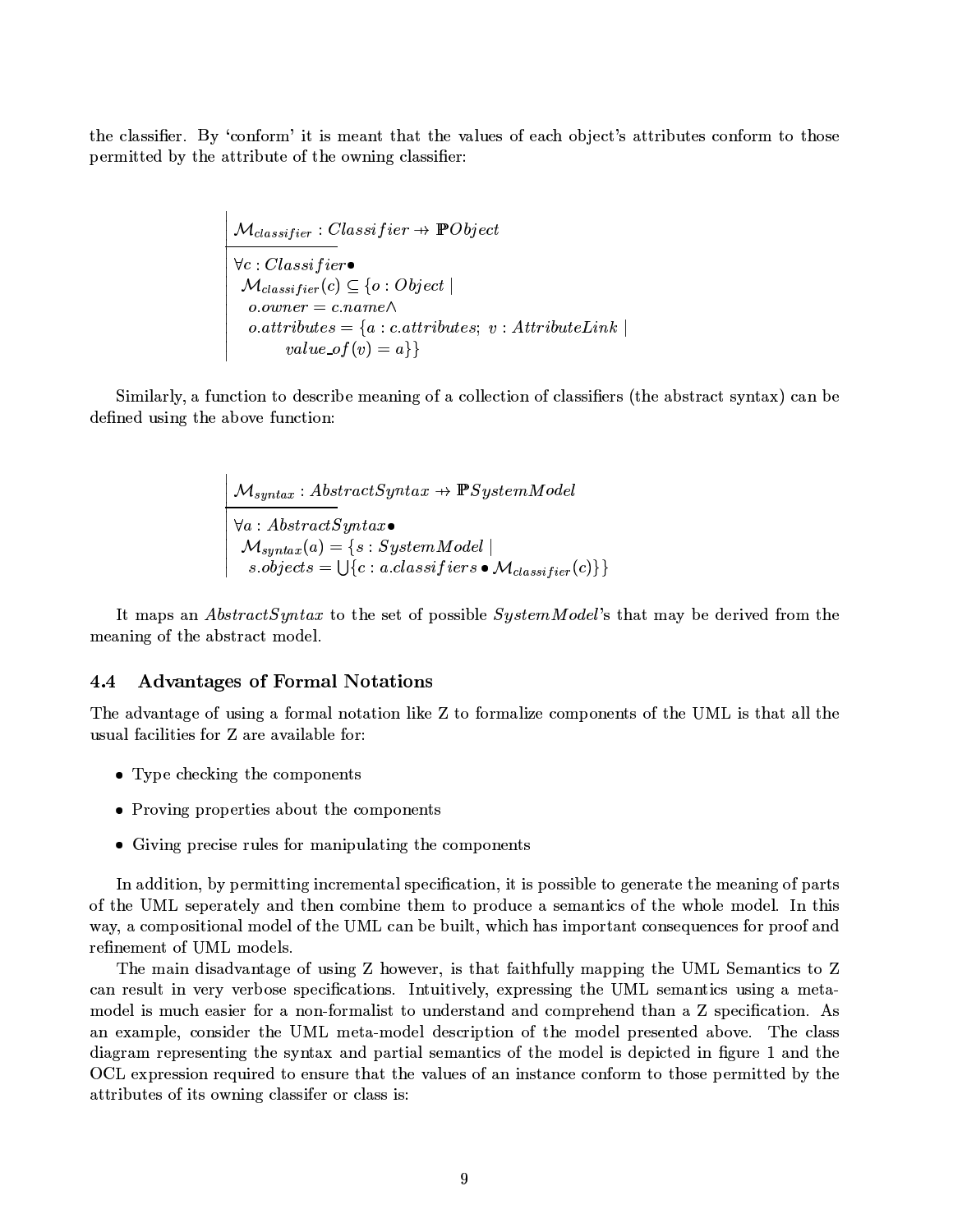the classifier. By 'conform' it is meant that the values of each object's attributes conform to those permitted by the attribute of the owning classifier:

$$
\mathcal{M}_{classification} : Classifier \rightarrow \mathbb{P}Object
$$
\n
$$
\forall c : Classifier(c) \subseteq \{o : Object \mid
$$
\n
$$
\mathcal{M}_{classification}(c) \subseteq \{o : Object \mid
$$
\n
$$
o. owner = c.name \land
$$
\n
$$
o. attributes = \{a : c. attributes; v : AttributeLink \mid
$$
\n
$$
value_of(v) = a\}
$$

Similarly, a function to describe meaning of a collection of classifiers (the abstract syntax) can be defined using the above function:

 $\begin{array}{|l|l|} \hline \mathcal{M}_{syntax}: AbstractSyntax \rightarrow \mathbb{P} SystemModel \\ \hline \forall a: AbstractSyntax \bullet \\ \mathcal{M}_{syntax}(a) = \{s: SystemModel \mid \\ s. objects = \bigcup \{c: a.classifiers \bullet \mathcal{M}_{classification}(c)\} \} \hline \end{array}$ 

It maps an *AbstractSyntax* to the set of possible *SystemModel*'s that may be derived from the meaning of the abstract model.

#### 4.4 **Advantages of Formal Notations**

The advantage of using a formal notation like Z to formalize components of the UML is that all the usual facilities for Z are available for:

- Type checking the components
- Proving properties about the components
- Giving precise rules for manipulating the components

In addition, by permitting incremental specification, it is possible to generate the meaning of parts of the UML seperately and then combine them to produce a semantics of the whole model. In this way, a compositional model of the UML can be built, which has important consequences for proof and refinement of UML models.

The main disadvantage of using Z however, is that faithfully mapping the UML Semantics to Z can result in very verbose specifications. Intuitively, expressing the UML semantics using a metamodel is much easier for a non-formalist to understand and comprehend than a Z specification. As an example, consider the UML meta-model description of the model presented above. The class diagram representing the syntax and partial semantics of the model is depicted in figure 1 and the OCL expression required to ensure that the values of an instance conform to those permitted by the attributes of its owning classifer or class is: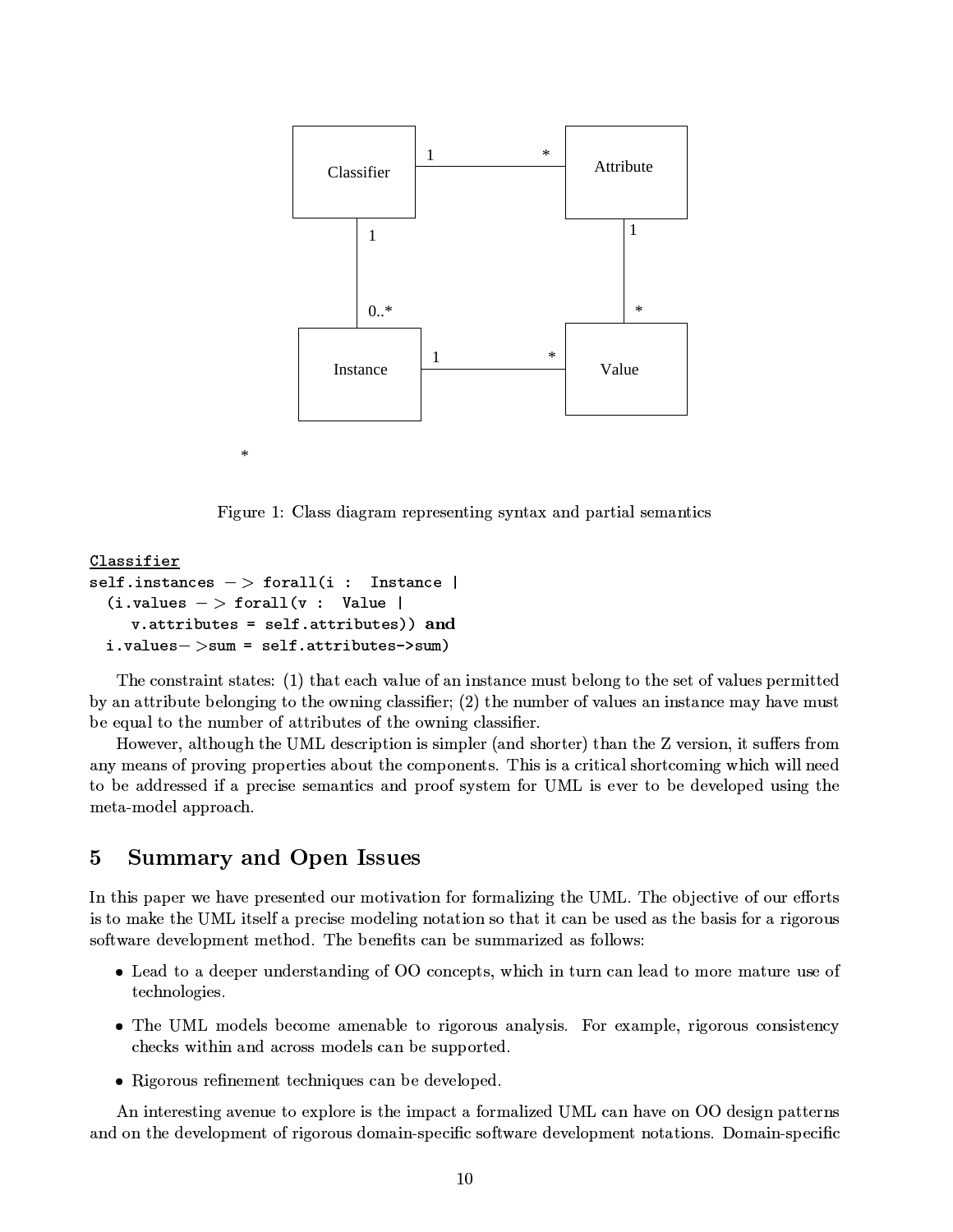

Figure 1: Class diagram representing syntax and partial semantics

# Classifier

```
self.instances - > forall(i :Instance |
 (i.yalues - > forall(v : Value |v \cdotattributes = self.attributes)) and
i.yalues->sum = self.attributes->sum)
```
 $\ast$ 

The constraint states: (1) that each value of an instance must belong to the set of values permitted by an attribute belonging to the owning classifier; (2) the number of values an instance may have must be equal to the number of attributes of the owning classifier.

However, although the UML description is simpler (and shorter) than the Z version, it suffers from any means of proving properties about the components. This is a critical shortcoming which will need to be addressed if a precise semantics and proof system for UML is ever to be developed using the meta-model approach.

## $\overline{5}$ Summary and Open Issues

In this paper we have presented our motivation for formalizing the UML. The objective of our efforts is to make the UML itself a precise modeling notation so that it can be used as the basis for a rigorous software development method. The benefits can be summarized as follows:

- Lead to a deeper understanding of OO concepts, which in turn can lead to more mature use of technologies.
- The UML models become amenable to rigorous analysis. For example, rigorous consistency checks within and across models can be supported.
- Rigorous refinement techniques can be developed.

An interesting avenue to explore is the impact a formalized UML can have on OO design patterns and on the development of rigorous domain-specific software development notations. Domain-specific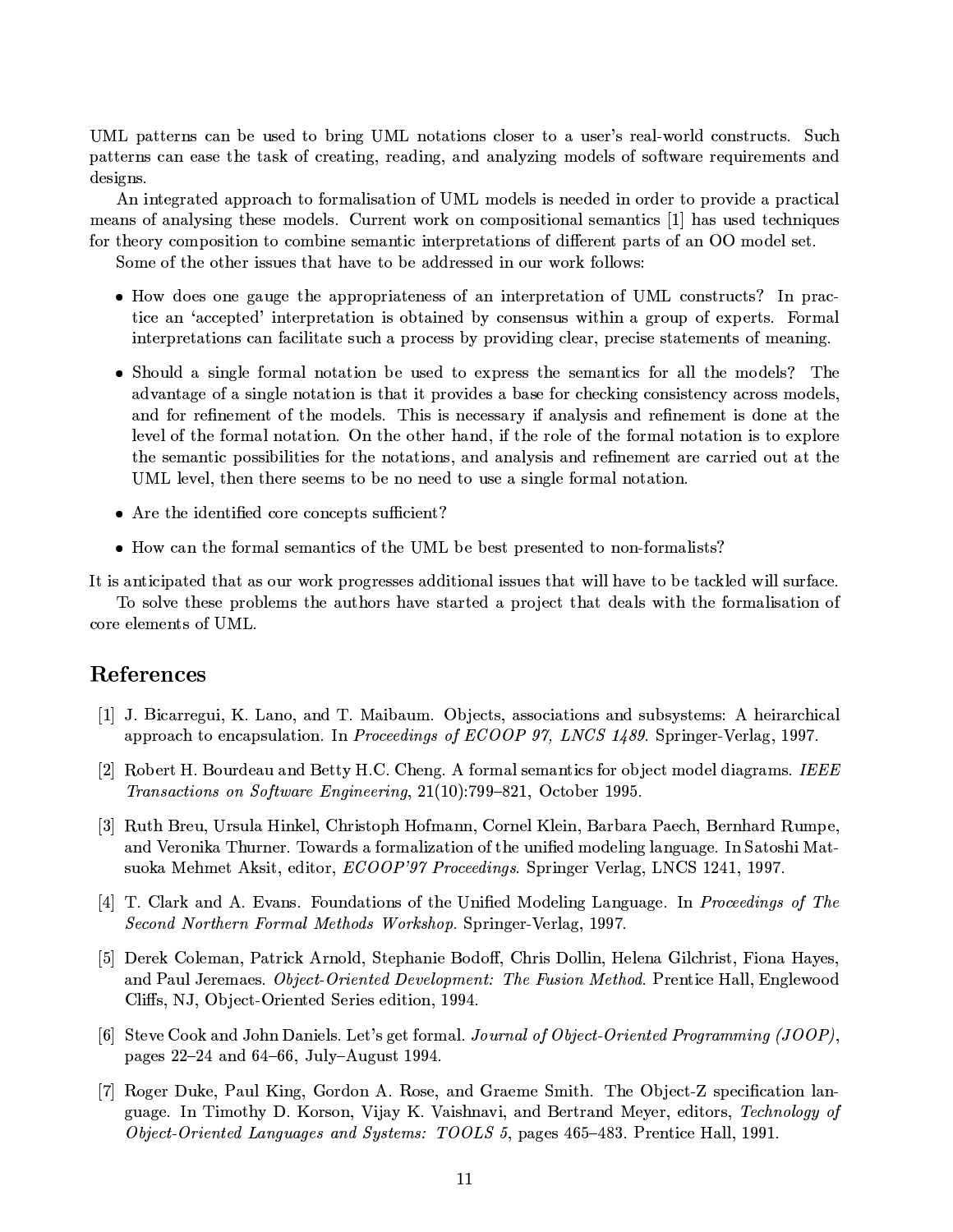UML patterns can be used to bring UML notations closer to a user's real-world constructs. Such patterns can ease the task of creating, reading, and analyzing models of software requirements and designs.

An integrated approach to formalisation of UML models is needed in order to provide a practical means of analysing these models. Current work on compositional semantics [1] has used techniques for theory composition to combine semantic interpretations of different parts of an OO model set.

Some of the other issues that have to be addressed in our work follows:

- How does one gauge the appropriateness of an interpretation of UML constructs? In practice an 'accepted' interpretation is obtained by consensus within a group of experts. Formal interpretations can facilitate such a process by providing clear, precise statements of meaning.
- Should a single formal notation be used to express the semantics for all the models? The advantage of a single notation is that it provides a base for checking consistency across models. and for refinement of the models. This is necessary if analysis and refinement is done at the level of the formal notation. On the other hand, if the role of the formal notation is to explore the semantic possibilities for the notations, and analysis and refinement are carried out at the UML level, then there seems to be no need to use a single formal notation.
- Are the identified core concepts sufficient?
- How can the formal semantics of the UML be best presented to non-formalists?

It is anticipated that as our work progresses additional issues that will have to be tackled will surface.

To solve these problems the authors have started a project that deals with the formalisation of core elements of UML.

# References

- [1] J. Bicarregui, K. Lano, and T. Maibaum. Objects, associations and subsystems: A heirarchical approach to encapsulation. In Proceedings of ECOOP 97, LNCS 1489. Springer-Verlag, 1997.
- [2] Robert H. Bourdeau and Betty H.C. Cheng. A formal semantics for object model diagrams. IEEE Transactions on Software Engineering, 21(10):799-821, October 1995.
- [3] Ruth Breu, Ursula Hinkel, Christoph Hofmann, Cornel Klein, Barbara Paech, Bernhard Rumpe, and Veronika Thurner. Towards a formalization of the unified modeling language. In Satoshi Matsuoka Mehmet Aksit, editor, ECOOP'97 Proceedings. Springer Verlag, LNCS 1241, 1997.
- [4] T. Clark and A. Evans. Foundations of the Unified Modeling Language. In Proceedings of The Second Northern Formal Methods Workshop. Springer-Verlag, 1997.
- [5] Derek Coleman, Patrick Arnold, Stephanie Bodoff, Chris Dollin, Helena Gilchrist, Fiona Hayes, and Paul Jeremaes. Object-Oriented Development: The Fusion Method. Prentice Hall, Englewood Cliffs, NJ, Object-Oriented Series edition, 1994.
- [6] Steve Cook and John Daniels. Let's get formal. Journal of Object-Oriented Programming (JOOP), pages 22-24 and 64-66, July-August 1994.
- [7] Roger Duke, Paul King, Gordon A. Rose, and Graeme Smith. The Object-Z specification language. In Timothy D. Korson, Vijay K. Vaishnavi, and Bertrand Meyer, editors, Technology of Object-Oriented Languages and Systems: TOOLS 5, pages 465-483. Prentice Hall, 1991.